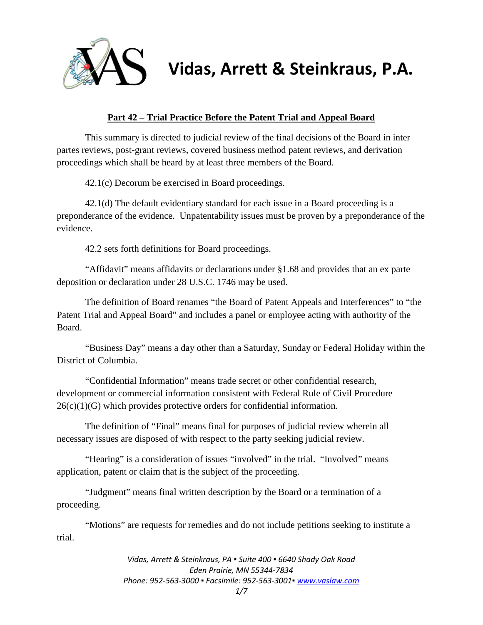

# **Vidas, Arrett & Steinkraus, P.A.**

# **Part 42 – Trial Practice Before the Patent Trial and Appeal Board**

This summary is directed to judicial review of the final decisions of the Board in inter partes reviews, post-grant reviews, covered business method patent reviews, and derivation proceedings which shall be heard by at least three members of the Board.

42.1(c) Decorum be exercised in Board proceedings.

42.1(d) The default evidentiary standard for each issue in a Board proceeding is a preponderance of the evidence. Unpatentability issues must be proven by a preponderance of the evidence.

42.2 sets forth definitions for Board proceedings.

"Affidavit" means affidavits or declarations under §1.68 and provides that an ex parte deposition or declaration under 28 U.S.C. 1746 may be used.

The definition of Board renames "the Board of Patent Appeals and Interferences" to "the Patent Trial and Appeal Board" and includes a panel or employee acting with authority of the Board.

"Business Day" means a day other than a Saturday, Sunday or Federal Holiday within the District of Columbia.

"Confidential Information" means trade secret or other confidential research, development or commercial information consistent with Federal Rule of Civil Procedure  $26(c)(1)(G)$  which provides protective orders for confidential information.

The definition of "Final" means final for purposes of judicial review wherein all necessary issues are disposed of with respect to the party seeking judicial review.

"Hearing" is a consideration of issues "involved" in the trial. "Involved" means application, patent or claim that is the subject of the proceeding.

"Judgment" means final written description by the Board or a termination of a proceeding.

"Motions" are requests for remedies and do not include petitions seeking to institute a trial.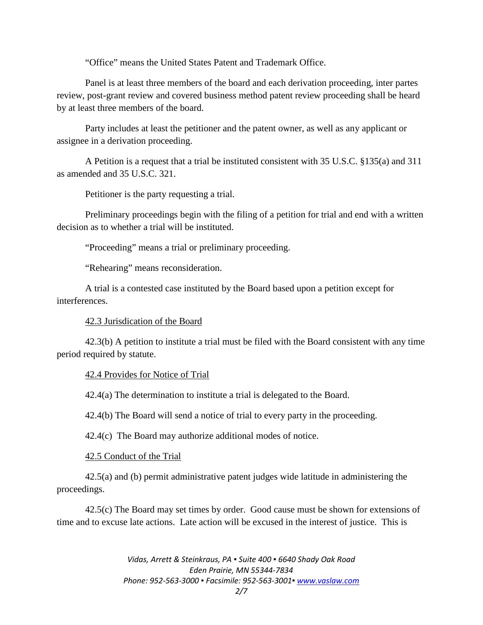"Office" means the United States Patent and Trademark Office.

Panel is at least three members of the board and each derivation proceeding, inter partes review, post-grant review and covered business method patent review proceeding shall be heard by at least three members of the board.

Party includes at least the petitioner and the patent owner, as well as any applicant or assignee in a derivation proceeding.

A Petition is a request that a trial be instituted consistent with 35 U.S.C. §135(a) and 311 as amended and 35 U.S.C. 321.

Petitioner is the party requesting a trial.

Preliminary proceedings begin with the filing of a petition for trial and end with a written decision as to whether a trial will be instituted.

"Proceeding" means a trial or preliminary proceeding.

"Rehearing" means reconsideration.

A trial is a contested case instituted by the Board based upon a petition except for interferences.

42.3 Jurisdication of the Board

42.3(b) A petition to institute a trial must be filed with the Board consistent with any time period required by statute.

## 42.4 Provides for Notice of Trial

42.4(a) The determination to institute a trial is delegated to the Board.

42.4(b) The Board will send a notice of trial to every party in the proceeding.

42.4(c) The Board may authorize additional modes of notice.

42.5 Conduct of the Trial

42.5(a) and (b) permit administrative patent judges wide latitude in administering the proceedings.

42.5(c) The Board may set times by order. Good cause must be shown for extensions of time and to excuse late actions. Late action will be excused in the interest of justice. This is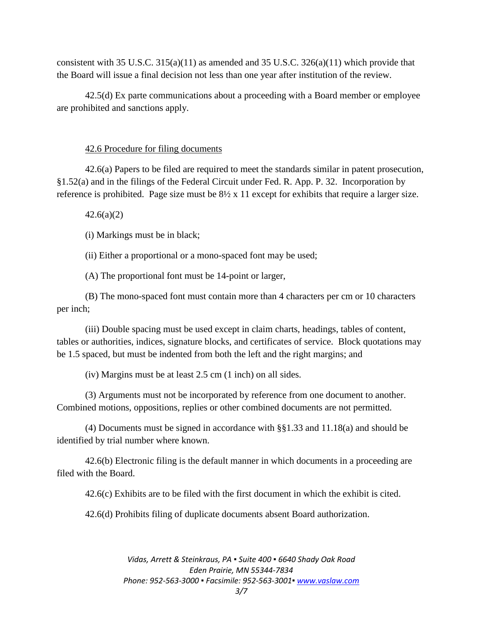consistent with 35 U.S.C. 315(a)(11) as amended and 35 U.S.C. 326(a)(11) which provide that the Board will issue a final decision not less than one year after institution of the review.

42.5(d) Ex parte communications about a proceeding with a Board member or employee are prohibited and sanctions apply.

#### 42.6 Procedure for filing documents

42.6(a) Papers to be filed are required to meet the standards similar in patent prosecution, §1.52(a) and in the filings of the Federal Circuit under Fed. R. App. P. 32. Incorporation by reference is prohibited. Page size must be 8½ x 11 except for exhibits that require a larger size.

 $42.6(a)(2)$ 

(i) Markings must be in black;

(ii) Either a proportional or a mono-spaced font may be used;

(A) The proportional font must be 14-point or larger,

(B) The mono-spaced font must contain more than 4 characters per cm or 10 characters per inch;

(iii) Double spacing must be used except in claim charts, headings, tables of content, tables or authorities, indices, signature blocks, and certificates of service. Block quotations may be 1.5 spaced, but must be indented from both the left and the right margins; and

(iv) Margins must be at least 2.5 cm (1 inch) on all sides.

(3) Arguments must not be incorporated by reference from one document to another. Combined motions, oppositions, replies or other combined documents are not permitted.

(4) Documents must be signed in accordance with §§1.33 and 11.18(a) and should be identified by trial number where known.

42.6(b) Electronic filing is the default manner in which documents in a proceeding are filed with the Board.

42.6(c) Exhibits are to be filed with the first document in which the exhibit is cited.

42.6(d) Prohibits filing of duplicate documents absent Board authorization.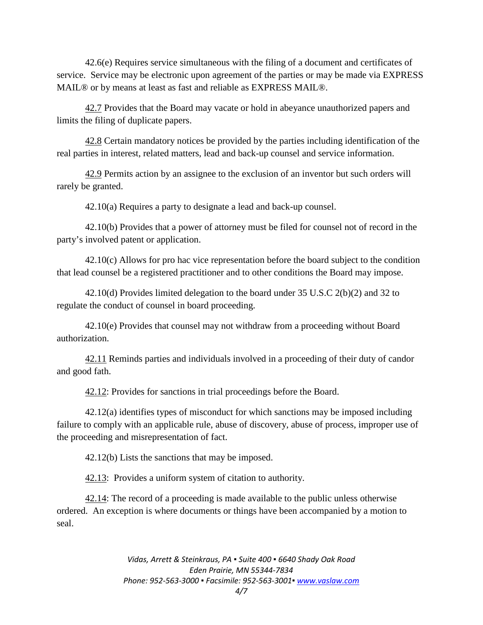42.6(e) Requires service simultaneous with the filing of a document and certificates of service. Service may be electronic upon agreement of the parties or may be made via EXPRESS MAIL® or by means at least as fast and reliable as EXPRESS MAIL®.

42.7 Provides that the Board may vacate or hold in abeyance unauthorized papers and limits the filing of duplicate papers.

42.8 Certain mandatory notices be provided by the parties including identification of the real parties in interest, related matters, lead and back-up counsel and service information.

42.9 Permits action by an assignee to the exclusion of an inventor but such orders will rarely be granted.

42.10(a) Requires a party to designate a lead and back-up counsel.

42.10(b) Provides that a power of attorney must be filed for counsel not of record in the party's involved patent or application.

42.10(c) Allows for pro hac vice representation before the board subject to the condition that lead counsel be a registered practitioner and to other conditions the Board may impose.

42.10(d) Provides limited delegation to the board under 35 U.S.C 2(b)(2) and 32 to regulate the conduct of counsel in board proceeding.

42.10(e) Provides that counsel may not withdraw from a proceeding without Board authorization.

42.11 Reminds parties and individuals involved in a proceeding of their duty of candor and good fath.

42.12: Provides for sanctions in trial proceedings before the Board.

42.12(a) identifies types of misconduct for which sanctions may be imposed including failure to comply with an applicable rule, abuse of discovery, abuse of process, improper use of the proceeding and misrepresentation of fact.

42.12(b) Lists the sanctions that may be imposed.

42.13: Provides a uniform system of citation to authority.

42.14: The record of a proceeding is made available to the public unless otherwise ordered. An exception is where documents or things have been accompanied by a motion to seal.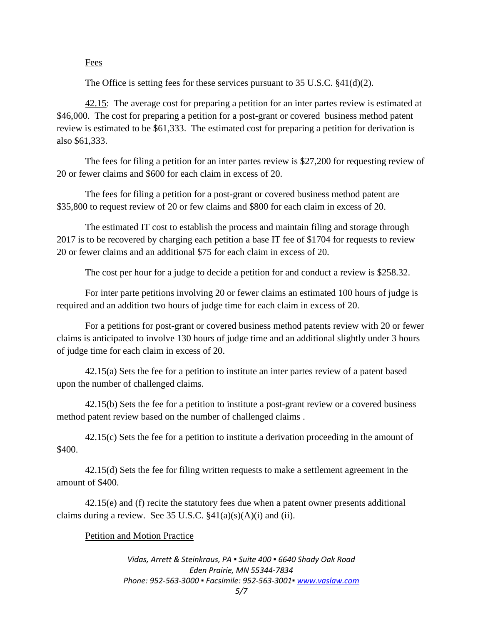## Fees

The Office is setting fees for these services pursuant to 35 U.S.C. §41(d)(2).

42.15: The average cost for preparing a petition for an inter partes review is estimated at \$46,000. The cost for preparing a petition for a post-grant or covered business method patent review is estimated to be \$61,333. The estimated cost for preparing a petition for derivation is also \$61,333.

The fees for filing a petition for an inter partes review is \$27,200 for requesting review of 20 or fewer claims and \$600 for each claim in excess of 20.

The fees for filing a petition for a post-grant or covered business method patent are \$35,800 to request review of 20 or few claims and \$800 for each claim in excess of 20.

The estimated IT cost to establish the process and maintain filing and storage through 2017 is to be recovered by charging each petition a base IT fee of \$1704 for requests to review 20 or fewer claims and an additional \$75 for each claim in excess of 20.

The cost per hour for a judge to decide a petition for and conduct a review is \$258.32.

For inter parte petitions involving 20 or fewer claims an estimated 100 hours of judge is required and an addition two hours of judge time for each claim in excess of 20.

For a petitions for post-grant or covered business method patents review with 20 or fewer claims is anticipated to involve 130 hours of judge time and an additional slightly under 3 hours of judge time for each claim in excess of 20.

42.15(a) Sets the fee for a petition to institute an inter partes review of a patent based upon the number of challenged claims.

42.15(b) Sets the fee for a petition to institute a post-grant review or a covered business method patent review based on the number of challenged claims .

42.15(c) Sets the fee for a petition to institute a derivation proceeding in the amount of \$400.

42.15(d) Sets the fee for filing written requests to make a settlement agreement in the amount of \$400.

42.15(e) and (f) recite the statutory fees due when a patent owner presents additional claims during a review. See 35 U.S.C.  $\S41(a)(s)(A)(i)$  and (ii).

## Petition and Motion Practice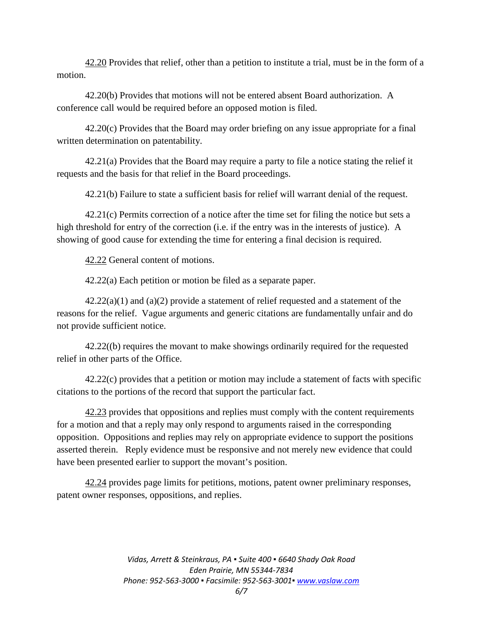42.20 Provides that relief, other than a petition to institute a trial, must be in the form of a motion.

42.20(b) Provides that motions will not be entered absent Board authorization. A conference call would be required before an opposed motion is filed.

42.20(c) Provides that the Board may order briefing on any issue appropriate for a final written determination on patentability.

42.21(a) Provides that the Board may require a party to file a notice stating the relief it requests and the basis for that relief in the Board proceedings.

42.21(b) Failure to state a sufficient basis for relief will warrant denial of the request.

42.21(c) Permits correction of a notice after the time set for filing the notice but sets a high threshold for entry of the correction (i.e. if the entry was in the interests of justice). A showing of good cause for extending the time for entering a final decision is required.

42.22 General content of motions.

42.22(a) Each petition or motion be filed as a separate paper.

 $42.22(a)(1)$  and  $(a)(2)$  provide a statement of relief requested and a statement of the reasons for the relief. Vague arguments and generic citations are fundamentally unfair and do not provide sufficient notice.

42.22((b) requires the movant to make showings ordinarily required for the requested relief in other parts of the Office.

42.22(c) provides that a petition or motion may include a statement of facts with specific citations to the portions of the record that support the particular fact.

42.23 provides that oppositions and replies must comply with the content requirements for a motion and that a reply may only respond to arguments raised in the corresponding opposition. Oppositions and replies may rely on appropriate evidence to support the positions asserted therein. Reply evidence must be responsive and not merely new evidence that could have been presented earlier to support the movant's position.

42.24 provides page limits for petitions, motions, patent owner preliminary responses, patent owner responses, oppositions, and replies.